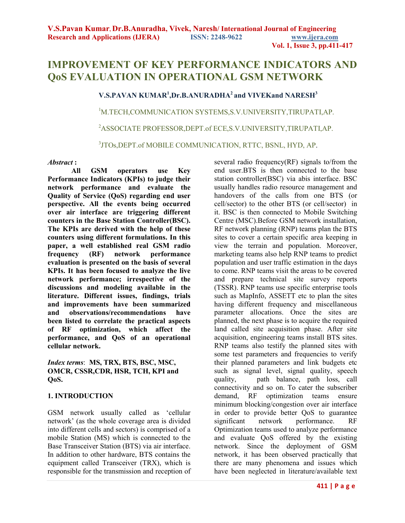# **IMPROVEMENT OF KEY PERFORMANCE INDICATORS AND QoS EVALUATION IN OPERATIONAL GSM NETWORK**

# **V.S.PAVAN KUMAR<sup>1</sup> ,Dr.B.ANURADHA<sup>2</sup>and VIVEKand NARESH<sup>3</sup>**

<sup>1</sup>M.TECH,COMMUNICATION SYSTEMS,S.V.UNIVERSITY,TIRUPATI,AP.

<sup>2</sup>ASSOCIATE PROFESSOR,DEPT.of ECE,S.V.UNIVERSITY,TIRUPATI,AP.

3 JTOs,DEPT.of MOBILE COMMUNICATION, RTTC, BSNL, HYD, AP.

#### *Abstract* **:**

 **All GSM operators use Key Performance Indicators (KPIs) to judge their network performance and evaluate the Quality of Service (QoS) regarding end user perspective. All the events being occurred over air interface are triggering different counters in the Base Station Controller(BSC). The KPIs are derived with the help of these counters using different formulations. In this paper, a well established real GSM radio frequency (RF) network performance evaluation is presented on the basis of several KPIs. It has been focused to analyze the live network performance; irrespective of the discussions and modeling available in the literature. Different issues, findings, trials and improvements have been summarized and observations/recommendations have been listed to correlate the practical aspects of RF optimization, which affect the performance, and QoS of an operational cellular network.** 

*Index terms*: **MS, TRX, BTS, BSC, MSC, OMCR, CSSR,CDR, HSR, TCH, KPI and QoS.** 

# **1. INTRODUCTION**

GSM network usually called as 'cellular network' (as the whole coverage area is divided into different cells and sectors) is comprised of a mobile Station (MS) which is connected to the Base Transceiver Station (BTS) via air interface. In addition to other hardware, BTS contains the equipment called Transceiver (TRX), which is responsible for the transmission and reception of

several radio frequency $(RF)$  signals to/from the end user.BTS is then connected to the base station controller(BSC) via abis interface. BSC usually handles radio resource management and handovers of the calls from one BTS (or cell/sector) to the other BTS (or cell/sector) in it. BSC is then connected to Mobile Switching Centre (MSC).Before GSM network installation, RF network planning (RNP) teams plan the BTS sites to cover a certain specific area keeping in view the terrain and population. Moreover, marketing teams also help RNP teams to predict population and user traffic estimation in the days to come. RNP teams visit the areas to be covered and prepare technical site survey reports (TSSR). RNP teams use specific enterprise tools such as MapInfo, ASSETT etc to plan the sites having different frequency and miscellaneous parameter allocations. Once the sites are planned, the next phase is to acquire the required land called site acquisition phase. After site acquisition, engineering teams install BTS sites. RNP teams also testify the planned sites with some test parameters and frequencies to verify their planned parameters and link budgets etc such as signal level, signal quality, speech quality, path balance, path loss, call connectivity and so on. To cater the subscriber demand, RF optimization teams ensure minimum blocking/congestion over air interface in order to provide better QoS to guarantee significant network performance. RF Optimization teams used to analyze performance and evaluate QoS offered by the existing network. Since the deployment of GSM network, it has been observed practically that there are many phenomena and issues which have been neglected in literature/available text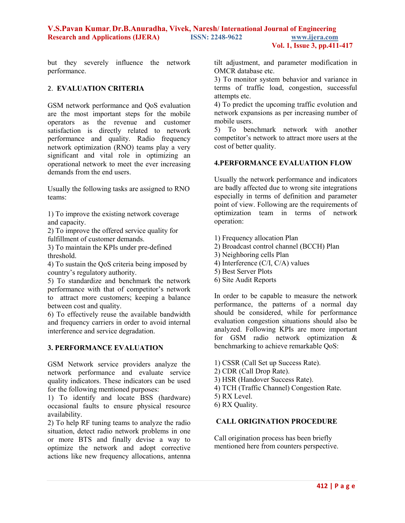but they severely influence the network performance.

# 2. **EVALUATION CRITERIA**

GSM network performance and QoS evaluation are the most important steps for the mobile operators as the revenue and customer satisfaction is directly related to network performance and quality. Radio frequency network optimization (RNO) teams play a very significant and vital role in optimizing an operational network to meet the ever increasing demands from the end users.

Usually the following tasks are assigned to RNO teams:

1) To improve the existing network coverage and capacity.

2) To improve the offered service quality for fulfillment of customer demands.

3) To maintain the KPIs under pre-defined threshold.

4) To sustain the QoS criteria being imposed by country's regulatory authority.

5) To standardize and benchmark the network performance with that of competitor's network to attract more customers; keeping a balance between cost and quality.

6) To effectively reuse the available bandwidth and frequency carriers in order to avoid internal interference and service degradation.

# **3. PERFORMANCE EVALUATION**

GSM Network service providers analyze the network performance and evaluate service quality indicators. These indicators can be used for the following mentioned purposes:

1) To identify and locate BSS (hardware) occasional faults to ensure physical resource availability.

2) To help RF tuning teams to analyze the radio situation, detect radio network problems in one or more BTS and finally devise a way to optimize the network and adopt corrective actions like new frequency allocations, antenna

tilt adjustment, and parameter modification in OMCR database etc.

3) To monitor system behavior and variance in terms of traffic load, congestion, successful attempts etc.

4) To predict the upcoming traffic evolution and network expansions as per increasing number of mobile users.

5) To benchmark network with another competitor's network to attract more users at the cost of better quality.

# **4.PERFORMANCE EVALUATION FLOW**

Usually the network performance and indicators are badly affected due to wrong site integrations especially in terms of definition and parameter point of view. Following are the requirements of optimization team in terms of network operation:

- 1) Frequency allocation Plan
- 2) Broadcast control channel (BCCH) Plan
- 3) Neighboring cells Plan
- 4) Interference (C/I, C/A) values
- 5) Best Server Plots
- 6) Site Audit Reports

In order to be capable to measure the network performance, the patterns of a normal day should be considered, while for performance evaluation congestion situations should also be analyzed. Following KPIs are more important for GSM radio network optimization & benchmarking to achieve remarkable QoS:

- 1) CSSR (Call Set up Success Rate).
- 2) CDR (Call Drop Rate).
- 3) HSR (Handover Success Rate).
- 4) TCH (Traffic Channel) Congestion Rate.
- 5) RX Level.
- 6) RX Quality.

# **CALL ORIGINATION PROCEDURE**

Call origination process has been briefly mentioned here from counters perspective.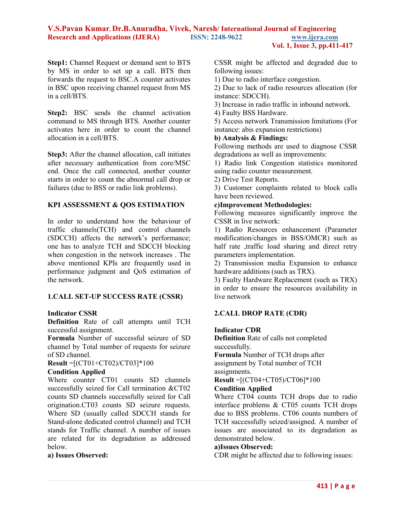**Step1:** Channel Request or demand sent to BTS by MS in order to set up a call. BTS then forwards the request to BSC.A counter activates in BSC upon receiving channel request from MS in a cell/BTS.

**Step2:** BSC sends the channel activation command to MS through BTS. Another counter activates here in order to count the channel allocation in a cell/BTS.

**Step3:** After the channel allocation, call initiates after necessary authentication from core/MSC end. Once the call connected, another counter starts in order to count the abnormal call drop or failures (due to BSS or radio link problems).

# **KPI ASSESSMENT & QOS ESTIMATION**

In order to understand how the behaviour of traffic channels(TCH) and control channels (SDCCH) affects the network's performance; one has to analyze TCH and SDCCH blocking when congestion in the network increases . The above mentioned KPIs are frequently used in performance judgment and QoS estimation of the network.

# **1.CALL SET-UP SUCCESS RATE (CSSR)**

#### **Indicator CSSR**

**Definition** Rate of call attempts until TCH successful assignment.

**Formula** Number of successful seizure of SD channel by Total number of requests for seizure of SD channel.

**Result** =[(CT01+CT02)/CT03]\*100

#### **Condition Applied**

Where counter CT01 counts SD channels successfully seized for Call termination &CT02 counts SD channels successfully seized for Call origination.CT03 counts SD seizure requests. Where SD (usually called SDCCH stands for Stand-alone dedicated control channel) and TCH stands for Traffic channel. A number of issues are related for its degradation as addressed below.

#### **a) Issues Observed:**

CSSR might be affected and degraded due to following issues:

1) Due to radio interface congestion.

2) Due to lack of radio resources allocation (for instance: SDCCH).

3) Increase in radio traffic in inbound network.

4) Faulty BSS Hardware.

5) Access network Transmission limitations (For instance: abis expansion restrictions)

#### **b) Analysis & Findings:**

Following methods are used to diagnose CSSR degradations as well as improvements:

1) Radio link Congestion statistics monitored using radio counter measurement.

2) Drive Test Reports.

3) Customer complaints related to block calls have been reviewed.

#### **c)Improvement Methodologies:**

Following measures significantly improve the CSSR in live network:

1) Radio Resources enhancement (Parameter modification/changes in BSS/OMCR) such as half rate ,traffic load sharing and direct retry parameters implementation.

2) Transmission media Expansion to enhance hardware additions (such as TRX).

3) Faulty Hardware Replacement (such as TRX) in order to ensure the resources availability in live network

# **2.CALL DROP RATE (CDR)**

#### **Indicator CDR**

**Definition** Rate of calls not completed successfully.

**Formula** Number of TCH drops after assignment by Total number of TCH assignments.

```
Result =[(CT04+CT05)/CT06]*100
```
#### **Condition Applied**

Where CT04 counts TCH drops due to radio interface problems & CT05 counts TCH drops due to BSS problems. CT06 counts numbers of TCH successfully seized/assigned. A number of issues are associated to its degradation as demonstrated below.

#### **a)Issues Observed:**

CDR might be affected due to following issues: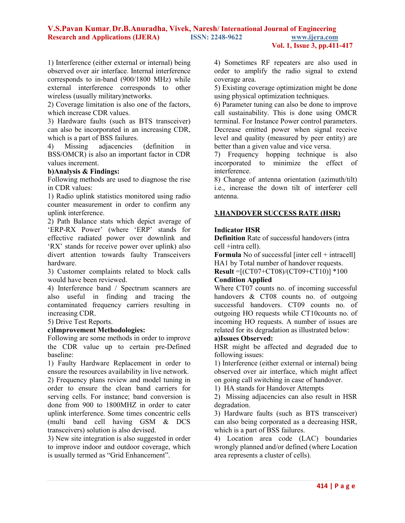1) Interference (either external or internal) being observed over air interface. Internal interference corresponds to in-band (900/1800 MHz) while external interference corresponds to other wireless (usually military)networks.

2) Coverage limitation is also one of the factors, which increase CDR values.

3) Hardware faults (such as BTS transceiver) can also be incorporated in an increasing CDR, which is a part of BSS failures.

4) Missing adjacencies (definition in BSS/OMCR) is also an important factor in CDR values increment.

# **b)Analysis & Findings:**

Following methods are used to diagnose the rise in CDR values:

1) Radio uplink statistics monitored using radio counter measurement in order to confirm any uplink interference.

2) Path Balance stats which depict average of 'ERP-RX Power' (where 'ERP' stands for effective radiated power over downlink and 'RX' stands for receive power over uplink) also divert attention towards faulty Transceivers hardware.

3) Customer complaints related to block calls would have been reviewed.

4) Interference band / Spectrum scanners are also useful in finding and tracing the contaminated frequency carriers resulting in increasing CDR.

5) Drive Test Reports.

# **c)Improvement Methodologies:**

Following are some methods in order to improve the CDR value up to certain pre-Defined baseline:

1) Faulty Hardware Replacement in order to ensure the resources availability in live network.

2) Frequency plans review and model tuning in order to ensure the clean band carriers for serving cells. For instance; band conversion is done from 900 to 1800MHZ in order to cater uplink interference. Some times concentric cells (multi band cell having GSM & DCS transceivers) solution is also devised.

3) New site integration is also suggested in order to improve indoor and outdoor coverage, which is usually termed as "Grid Enhancement".

4) Sometimes RF repeaters are also used in order to amplify the radio signal to extend coverage area.

5) Existing coverage optimization might be done using physical optimization techniques.

6) Parameter tuning can also be done to improve call sustainability. This is done using OMCR terminal. For Instance Power control parameters. Decrease emitted power when signal receive level and quality (measured by peer entity) are better than a given value and vice versa.

7) Frequency hopping technique is also incorporated to minimize the effect of interference.

8) Change of antenna orientation (azimuth/tilt) i.e., increase the down tilt of interferer cell antenna.

#### **3.HANDOVER SUCCESS RATE (HSR)**

#### **Indicator HSR**

**Definition** Rate of successful handovers (intra cell +intra cell).

**Formula** No of successful [inter cell + intracell] HA1 by Total number of handover requests.

**Result** =[(CT07+CT08)/(CT09+CT10)] \*100 **Condition Applied** 

Where CT07 counts no. of incoming successful handovers & CT08 counts no. of outgoing successful handovers. CT09 counts no. of outgoing HO requests while CT10counts no. of incoming HO requests. A number of issues are related for its degradation as illustrated below:

# **a)Issues Observed:**

HSR might be affected and degraded due to following issues:

1) Interference (either external or internal) being observed over air interface, which might affect on going call switching in case of handover.

1) HA stands for Handover Attempts

2) Missing adjacencies can also result in HSR degradation.

3) Hardware faults (such as BTS transceiver) can also being corporated as a decreasing HSR, which is a part of BSS failures.

4) Location area code (LAC) boundaries wrongly planned and/or defined (where Location area represents a cluster of cells).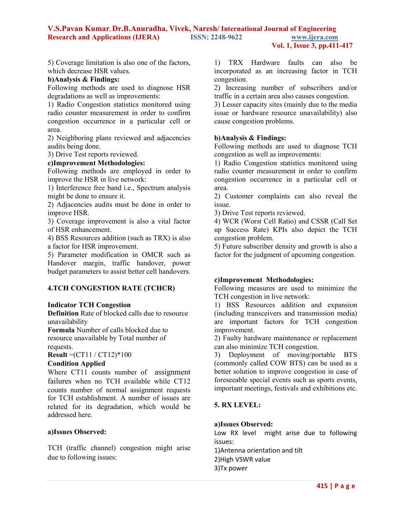**Vol. 1, Issue 3, pp.411-417**

5) Coverage limitation is also one of the factors, which decrease HSR values.

# **b)Analysis & Findings:**

Following methods are used to diagnose HSR degradations as well as improvements:

1) Radio Congestion statistics monitored using radio counter measurement in order to confirm congestion occurrence in a particular cell or area.

2) Neighboring plans reviewed and adjacencies audits being done.

3) Drive Test reports reviewed.

#### **c)Improvement Methodologies:**

Following methods are employed in order to improve the HSR in live network:

1) Interference free band i.e., Spectrum analysis might be done to ensure it.

2) Adjacencies audits must be done in order to improve HSR.

3) Coverage improvement is also a vital factor of HSR enhancement.

4) BSS Resources addition (such as TRX) is also a factor for HSR improvement.

5) Parameter modification in OMCR such as Handover margin, traffic handover, power budget parameters to assist better cell handovers.

# **4.TCH CONGESTION RATE (TCHCR)**

# **Indicator TCH Congestion**

**Definition** Rate of blocked calls due to resource unavailability

**Formula** Number of calls blocked due to resource unavailable by Total number of requests.

**Result** =(CT11 / CT12)\*100

# **Condition Applied**

Where CT11 counts number of assignment failures when no TCH available while CT12 counts number of normal assignment requests for TCH establishment. A number of issues are related for its degradation, which would be addressed here.

# **a)Issues Observed:**

TCH (traffic channel) congestion might arise due to following issues:

1) TRX Hardware faults can also be incorporated as an increasing factor in TCH congestion.

2) Increasing number of subscribers and/or traffic in a certain area also causes congestion.

3) Lesser capacity sites (mainly due to the media issue or hardware resource unavailability) also cause congestion problems.

# **b)Analysis & Findings:**

Following methods are used to diagnose TCH congestion as well as improvements:

1) Radio Congestion statistics monitored using radio counter measurement in order to confirm congestion occurrence in a particular cell or area.

2) Customer complaints can also reveal the issue.

3) Drive Test reports reviewed.

4) WCR (Worst Cell Ratio) and CSSR (Call Set up Success Rate) KPIs also depict the TCH congestion problem.

5) Future subscriber density and growth is also a factor for the judgment of upcoming congestion.

# **c)Improvement Methodologies:**

Following measures are used to minimize the TCH congestion in live network:

1) BSS Resources addition and expansion (including transceivers and transmission media) are important factors for TCH congestion improvement.

2) Faulty hardware maintenance or replacement can also minimize TCH congestion.

3) Deployment of moving/portable BTS (commonly called COW BTS) can be used as a better solution to improve congestion in case of foreseeable special events such as sports events, important meetings, festivals and exhibitions etc.

# **5. RX LEVEL:**

# **a)Issues Observed:**

Low RX level might arise due to following issues: 1)Antenna orientation and tilt 2)High VSWR value 3)Tx power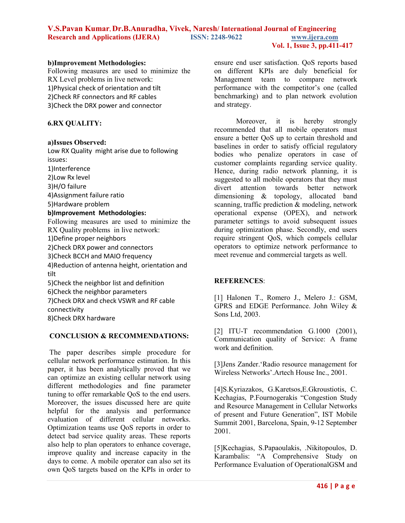#### **b)Improvement Methodologies:**

Following measures are used to minimize the RX Level problems in live network: 1)Physical check of orientation and tilt 2)Check RF connectors and RF cables 3)Check the DRX power and connector

# **6.RX QUALITY:**

#### **a)Issues Observed:**

Low RX Quality might arise due to following issues: 1)Interference 2)Low Rx level 3)H/O failure 4)Assignment failure ratio 5)Hardware problem **b)Improvement Methodologies:**  Following measures are used to minimize the RX Quality problems in live network: 1)Define proper neighbors 2)Check DRX power and connectors

3)Check BCCH and MAIO frequency

4)Reduction of antenna height, orientation and tilt

5)Check the neighbor list and definition

6)Check the neighbor parameters

7)Check DRX and check VSWR and RF cable

connectivity

8)Check DRX hardware

# **CONCLUSION & RECOMMENDATIONS:**

 The paper describes simple procedure for cellular network performance estimation. In this paper, it has been analytically proved that we can optimize an existing cellular network using different methodologies and fine parameter tuning to offer remarkable QoS to the end users. Moreover, the issues discussed here are quite helpful for the analysis and performance evaluation of different cellular networks. Optimization teams use QoS reports in order to detect bad service quality areas. These reports also help to plan operators to enhance coverage, improve quality and increase capacity in the days to come. A mobile operator can also set its own QoS targets based on the KPIs in order to

ensure end user satisfaction. QoS reports based on different KPIs are duly beneficial for Management team to compare network performance with the competitor's one (called benchmarking) and to plan network evolution and strategy.

Moreover, it is hereby strongly recommended that all mobile operators must ensure a better QoS up to certain threshold and baselines in order to satisfy official regulatory bodies who penalize operators in case of customer complaints regarding service quality. Hence, during radio network planning, it is suggested to all mobile operators that they must divert attention towards better network dimensioning & topology, allocated band scanning, traffic prediction & modeling, network operational expense (OPEX), and network parameter settings to avoid subsequent issues during optimization phase. Secondly, end users require stringent QoS, which compels cellular operators to optimize network performance to meet revenue and commercial targets as well.

# **REFERENCES**:

[1] Halonen T., Romero J., Melero J.: GSM, GPRS and EDGE Performance. John Wiley & Sons Ltd, 2003.

[2] ITU-T recommendation G.1000 (2001), Communication quality of Service: A frame work and definition.

[3]Jens Zander.'Radio resource management for Wireless Networks'.Artech House Inc., 2001.

[4]S.Kyriazakos, G.Karetsos,E.Gkroustiotis, C. Kechagias, P.Fournogerakis "Congestion Study and Resource Management in Cellular Networks of present and Future Generation", IST Mobile Summit 2001, Barcelona, Spain, 9-12 September 2001.

[5]Kechagias, S.Papaoulakis, .Nikitopoulos, D. Karambalis: "A Comprehensive Study on Performance Evaluation of OperationalGSM and